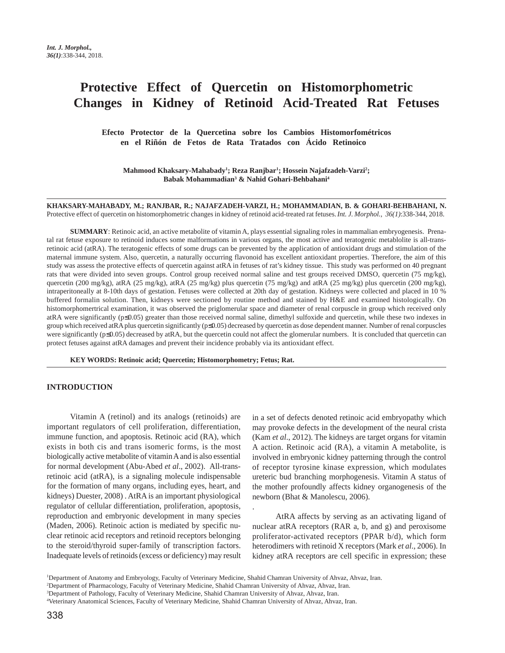# **Protective Effect of Quercetin on Histomorphometric Changes in Kidney of Retinoid Acid-Treated Rat Fetuses**

**Efecto Protector de la Quercetina sobre los Cambios Histomorfométricos en el Riñón de Fetos de Rata Tratados con Ácido Retinoico**

**Mahmood Khaksary-Mahabady1 ; Reza Ranjbar1 ; Hossein Najafzadeh-Varzi2 ; Babak Mohammadian3 & Nahid Gohari-Behbahani4**

**KHAKSARY-MAHABADY, M.; RANJBAR, R.; NAJAFZADEH-VARZI, H.; MOHAMMADIAN, B. & GOHARI-BEHBAHANI, N.** Protective effect of quercetin on histomorphometric changes in kidney of retinoid acid-treated rat fetuses. *Int. J. Morphol., 36(1)*:338-344, 2018.

**SUMMARY**: Retinoic acid, an active metabolite of vitamin A, plays essential signaling roles in mammalian embryogenesis. Prenatal rat fetuse exposure to retinoid induces some malformations in various organs, the most active and teratogenic metablolite is all-transretinoic acid (atRA). The teratogenic effects of some drugs can be prevented by the application of antioxidant drugs and stimulation of the maternal immune system. Also, quercetin, a naturally occurring flavonoid has excellent antioxidant properties. Therefore, the aim of this study was assess the protective effects of quercetin against atRA in fetuses of rat's kidney tissue. This study was performed on 40 pregnant rats that were divided into seven groups. Control group received normal saline and test groups received DMSO, quercetin (75 mg/kg), quercetin (200 mg/kg), atRA (25 mg/kg), atRA (25 mg/kg) plus quercetin (75 mg/kg) and atRA (25 mg/kg) plus quercetin (200 mg/kg), intraperitoneally at 8-10th days of gestation. Fetuses were collected at 20th day of gestation. Kidneys were collected and placed in 10 % buffered formalin solution. Then, kidneys were sectioned by routine method and stained by H&E and examined histologically. On histomorphomertrical examination, it was observed the priglomerular space and diameter of renal corpuscle in group which received only atRA were significantly (p≤0.05) greater than those received normal saline, dimethyl sulfoxide and quercetin, while these two indexes in group which received atRA plus quercetin significantly (p≤0.05) decreased by quercetin as dose dependent manner. Number of renal corpuscles were significantly (p≤0.05) decreased by atRA, but the quercetin could not affect the glomerular numbers. It is concluded that quercetin can protect fetuses against atRA damages and prevent their incidence probably via its antioxidant effect.

.

**KEY WORDS: Retinoic acid; Quercetin; Histomorphometry; Fetus; Rat.**

#### **INTRODUCTION**

Vitamin A (retinol) and its analogs (retinoids) are important regulators of cell proliferation, differentiation, immune function, and apoptosis. Retinoic acid (RA), which exists in both cis and trans isomeric forms, is the most biologically active metabolite of vitamin A and is also essential for normal development (Abu-Abed *et al*., 2002). All-transretinoic acid (atRA), is a signaling molecule indispensable for the formation of many organs, including eyes, heart, and kidneys) Duester, 2008) . AtRA is an important physiological regulator of cellular differentiation, proliferation, apoptosis, reproduction and embryonic development in many species (Maden, 2006). Retinoic action is mediated by specific nuclear retinoic acid receptors and retinoid receptors belonging to the steroid/thyroid super-family of transcription factors. Inadequate levels of retinoids (excess or deficiency) may result

in a set of defects denoted retinoic acid embryopathy which may provoke defects in the development of the neural crista (Kam *et al*., 2012). The kidneys are target organs for vitamin A action. Retinoic acid (RA), a vitamin A metabolite, is involved in embryonic kidney patterning through the control of receptor tyrosine kinase expression, which modulates ureteric bud branching morphogenesis. Vitamin A status of the mother profoundly affects kidney organogenesis of the newborn (Bhat & Manolescu, 2006).

AtRA affects by serving as an activating ligand of nuclear atRA receptors (RAR a, b, and g) and peroxisome proliferator-activated receptors (PPAR b/d), which form heterodimers with retinoid X receptors (Mark *et al*., 2006). In kidney atRA receptors are cell specific in expression; these

<sup>1</sup> Department of Anatomy and Embryology, Faculty of Veterinary Medicine, Shahid Chamran University of Ahvaz, Ahvaz, Iran.

<sup>2</sup> Department of Pharmacology, Faculty of Veterinary Medicine, Shahid Chamran University of Ahvaz, Ahvaz, Iran.

<sup>3</sup> Department of Pathology, Faculty of Veterinary Medicine, Shahid Chamran University of Ahvaz, Ahvaz, Iran.

<sup>4</sup> Veterinary Anatomical Sciences, Faculty of Veterinary Medicine, Shahid Chamran University of Ahvaz, Ahvaz, Iran.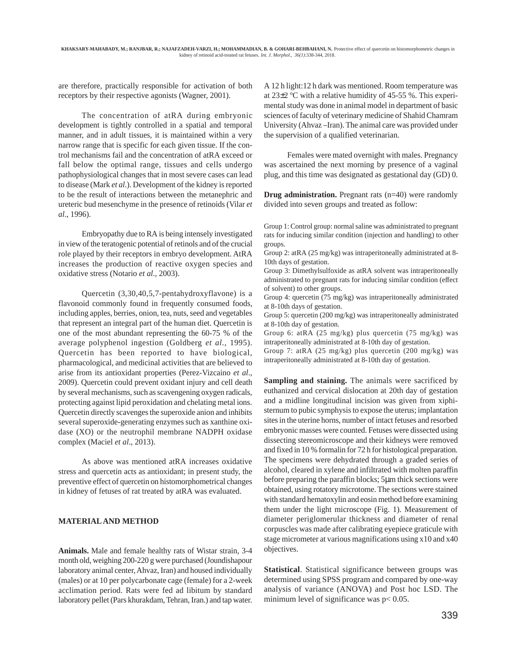are therefore, practically responsible for activation of both receptors by their respective agonists (Wagner, 2001).

The concentration of atRA during embryonic development is tightly controlled in a spatial and temporal manner, and in adult tissues, it is maintained within a very narrow range that is specific for each given tissue. If the control mechanisms fail and the concentration of atRA exceed or fall below the optimal range, tissues and cells undergo pathophysiological changes that in most severe cases can lead to disease (Mark *et al*.). Development of the kidney is reported to be the result of interactions between the metanephric and ureteric bud mesenchyme in the presence of retinoids (Vilar *et al*., 1996).

Embryopathy due to RA is being intensely investigated in view of the teratogenic potential of retinols and of the crucial role played by their receptors in embryo development. AtRA increases the production of reactive oxygen species and oxidative stress (Notario *et al*., 2003).

Quercetin (3,30,40,5,7-pentahydroxyflavone) is a flavonoid commonly found in frequently consumed foods, including apples, berries, onion, tea, nuts, seed and vegetables that represent an integral part of the human diet. Quercetin is one of the most abundant representing the 60-75 % of the average polyphenol ingestion (Goldberg *et al*., 1995). Quercetin has been reported to have biological, pharmacological, and medicinal activities that are believed to arise from its antioxidant properties (Perez-Vizcaino *et al*., 2009). Quercetin could prevent oxidant injury and cell death by several mechanisms, such as scavengening oxygen radicals, protecting against lipid peroxidation and chelating metal ions. Quercetin directly scavenges the superoxide anion and inhibits several superoxide-generating enzymes such as xanthine oxidase (XO) or the neutrophil membrane NADPH oxidase complex (Maciel *et al*., 2013).

As above was mentioned atRA increases oxidative stress and quercetin acts as antioxidant; in present study, the preventive effect of quercetin on histomorphometrical changes in kidney of fetuses of rat treated by atRA was evaluated.

## **MATERIAL AND METHOD**

**Animals.** Male and female healthy rats of Wistar strain, 3-4 month old, weighing 200-220 g were purchased (Joundishapour laboratory animal center, Ahvaz, Iran) and housed individually (males) or at 10 per polycarbonate cage (female) for a 2-week acclimation period. Rats were fed ad libitum by standard laboratory pellet (Pars khurakdam, Tehran, Iran.) and tap water. A 12 h light:12 h dark was mentioned. Room temperature was at 23±2 ºC with a relative humidity of 45-55 %. This experimental study was done in animal model in department of basic sciences of faculty of veterinary medicine of Shahid Chamram University (Ahvaz –Iran). The animal care was provided under the supervision of a qualified veterinarian.

Females were mated overnight with males. Pregnancy was ascertained the next morning by presence of a vaginal plug, and this time was designated as gestational day (GD) 0.

**Drug administration.** Pregnant rats (n=40) were randomly divided into seven groups and treated as follow:

Group 1: Control group: normal saline was administrated to pregnant rats for inducing similar condition (injection and handling) to other groups.

Group 2: atRA (25 mg/kg) was intraperitoneally administrated at 8- 10th days of gestation.

Group 3: Dimethylsulfoxide as atRA solvent was intraperitoneally administrated to pregnant rats for inducing similar condition (effect of solvent) to other groups.

Group 4: quercetin (75 mg/kg) was intraperitoneally administrated at 8-10th days of gestation.

Group 5: quercetin (200 mg/kg) was intraperitoneally administrated at 8-10th day of gestation.

Group 6: atRA (25 mg/kg) plus quercetin (75 mg/kg) was intraperitoneally administrated at 8-10th day of gestation.

Group 7: atRA (25 mg/kg) plus quercetin (200 mg/kg) was intraperitoneally administrated at 8-10th day of gestation.

**Sampling and staining.** The animals were sacrificed by euthanized and cervical dislocation at 20th day of gestation and a midline longitudinal incision was given from xiphisternum to pubic symphysis to expose the uterus; implantation sites in the uterine horns, number of intact fetuses and resorbed embryonic masses were counted. Fetuses were dissected using dissecting stereomicroscope and their kidneys were removed and fixed in 10 % formalin for 72 h for histological preparation. The specimens were dehydrated through a graded series of alcohol, cleared in xylene and infiltrated with molten paraffin before preparing the paraffin blocks; 5µm thick sections were obtained, using rotatory microtome. The sections were stained with standard hematoxylin and eosin method before examining them under the light microscope (Fig. 1). Measurement of diameter periglomerular thickness and diameter of renal corpuscles was made after calibrating eyepiece graticule with stage micrometer at various magnifications using x10 and x40 objectives.

**Statistical**. Statistical significance between groups was determined using SPSS program and compared by one-way analysis of variance (ANOVA) and Post hoc LSD. The minimum level of significance was  $p < 0.05$ .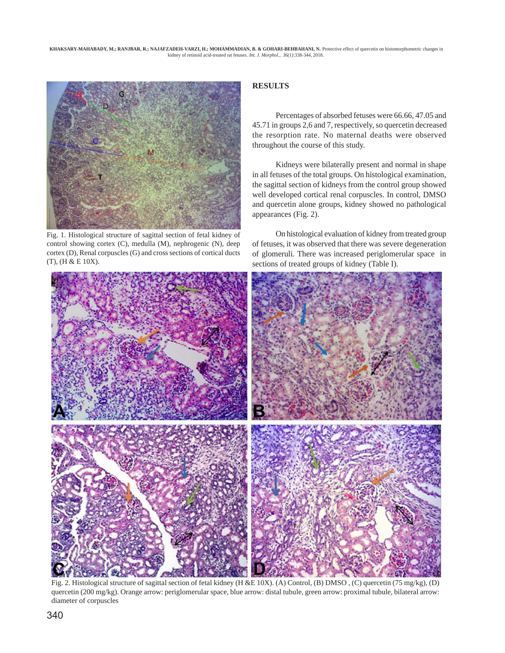

Fig. 1. Histological structure of sagittal section of fetal kidney of control showing cortex (C), medulla (M), nephrogenic (N), deep cortex (D), Renal corpuscles (G) and cross sections of cortical ducts (T), (H & E 10X).

## **RESULTS**

Percentages of absorbed fetuses were 66.66, 47.05 and 45.71 in groups 2,6 and 7, respectively, so quercetin decreased the resorption rate. No maternal deaths were observed throughout the course of this study.

Kidneys were bilaterally present and normal in shape in all fetuses of the total groups. On histological examination, the sagittal section of kidneys from the control group showed well developed cortical renal corpuscles. In control, DMSO and quercetin alone groups, kidney showed no pathological appearances (Fig. 2).

On histological evaluation of kidney from treated group of fetuses, it was observed that there was severe degeneration of glomeruli. There was increased periglomerular space in sections of treated groups of kidney (Table I).



Fig. 2. Histological structure of sagittal section of fetal kidney (H &E 10X). (A) Control, (B) DMSO , (C) quercetin (75 mg/kg), (D) quercetin (200 mg/kg). Orange arrow: periglomerular space, blue arrow: distal tubule, green arrow: proximal tubule, bilateral arrow: diameter of corpuscles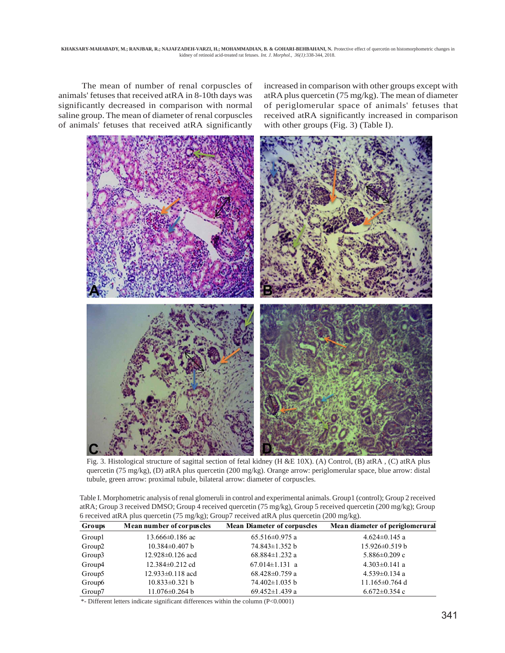The mean of number of renal corpuscles of animals' fetuses that received atRA in 8-10th days was significantly decreased in comparison with normal saline group. The mean of diameter of renal corpuscles of animals' fetuses that received atRA significantly

increased in comparison with other groups except with atRA plus quercetin (75 mg/kg). The mean of diameter of periglomerular space of animals' fetuses that received atRA significantly increased in comparison with other groups (Fig. 3) (Table I).



Fig. 3. Histological structure of sagittal section of fetal kidney (H &E 10X). (A) Control, (B) atRA , (C) atRA plus quercetin (75 mg/kg), (D) atRA plus quercetin (200 mg/kg). Orange arrow: periglomerular space, blue arrow: distal tubule, green arrow: proximal tubule, bilateral arrow: diameter of corpuscles.

| Table I. Morphometric analysis of renal glomeruli in control and experimental animals. Group1 (control); Group2 received |
|--------------------------------------------------------------------------------------------------------------------------|
| atRA; Group 3 received DMSO; Group 4 received quercetin (75 mg/kg), Group 5 received quercetin (200 mg/kg); Group        |
| 6 received at RA plus quercetin (75 mg/kg); Group7 received at RA plus quercetin (200 mg/kg).                            |

| Groups             | Mean number of corpuscles | <b>Mean Diameter of corpuscles</b> | Mean diameter of periglomerural |
|--------------------|---------------------------|------------------------------------|---------------------------------|
| Group1             | $13.666 \pm 0.186$ ac     | $65.516 \pm 0.975$ a               | $4.624 \pm 0.145$ a             |
| Group <sub>2</sub> | $10.384 \pm 0.407$ b      | 74.843±1.352 b                     | $15.926 \pm 0.519 b$            |
| Group3             | $12.928 \pm 0.126$ acd    | 68.884 $\pm$ 1.232 a               | $5.886 \pm 0.209$ c             |
| Group4             | $12.384\pm0.212$ cd       | $67.014 \pm 1.131$ a               | $4.303 \pm 0.141$ a             |
| Group5             | $12.933\pm0.118$ acd      | $68.428 \pm 0.759$ a               | $4.539 \pm 0.134$ a             |
| Group6             | $10.833 \pm 0.321 b$      | $74.402 \pm 1.035$ b               | $11.165\pm0.764$ d              |
| Group7             | $11.076 \pm 0.264$ b      | 69.452 $\pm$ 1.439 a               | $6.672 \pm 0.354$ c             |

\*- Different letters indicate significant differences within the column (P<0.0001)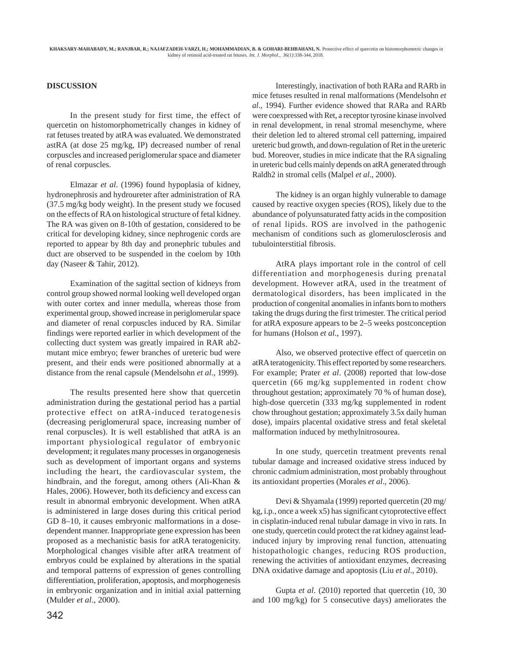#### **DISCUSSION**

In the present study for first time, the effect of quercetin on histomorphometrically changes in kidney of rat fetuses treated by atRA was evaluated. We demonstrated astRA (at dose 25 mg/kg, IP) decreased number of renal corpuscles and increased periglomerular space and diameter of renal corpuscles.

Elmazar *et al*. (1996) found hypoplasia of kidney, hydronephrosis and hydroureter after administration of RA (37.5 mg/kg body weight). In the present study we focused on the effects of RA on histological structure of fetal kidney. The RA was given on 8-10th of gestation, considered to be critical for developing kidney, since nephrogenic cords are reported to appear by 8th day and pronephric tubules and duct are observed to be suspended in the coelom by 10th day (Naseer & Tahir, 2012).

Examination of the sagittal section of kidneys from control group showed normal looking well developed organ with outer cortex and inner medulla, whereas those from experimental group, showed increase in periglomerular space and diameter of renal corpuscles induced by RA. Similar findings were reported earlier in which development of the collecting duct system was greatly impaired in RAR ab2 mutant mice embryo; fewer branches of ureteric bud were present, and their ends were positioned abnormally at a distance from the renal capsule (Mendelsohn *et al*., 1999).

The results presented here show that quercetin administration during the gestational period has a partial protective effect on atRA-induced teratogenesis (decreasing periglomerural space, increasing number of renal corpuscles). It is well established that atRA is an important physiological regulator of embryonic development; it regulates many processes in organogenesis such as development of important organs and systems including the heart, the cardiovascular system, the hindbrain, and the foregut, among others (Ali-Khan & Hales, 2006). However, both its deficiency and excess can result in abnormal embryonic development. When atRA is administered in large doses during this critical period GD 8–10, it causes embryonic malformations in a dosedependent manner. Inappropriate gene expression has been proposed as a mechanistic basis for atRA teratogenicity. Morphological changes visible after atRA treatment of embryos could be explained by alterations in the spatial and temporal patterns of expression of genes controlling differentiation, proliferation, apoptosis, and morphogenesis in embryonic organization and in initial axial patterning (Mulder *et al*., 2000).

Interestingly, inactivation of both RARa and RARb in mice fetuses resulted in renal malformations (Mendelsohn *et al*., 1994). Further evidence showed that RARa and RARb were coexpressed with Ret, a receptor tyrosine kinase involved in renal development, in renal stromal mesenchyme, where their deletion led to altered stromal cell patterning, impaired ureteric bud growth, and down-regulation of Ret in the ureteric bud. Moreover, studies in mice indicate that the RA signaling in ureteric bud cells mainly depends on atRA generated through Raldh2 in stromal cells (Malpel *et al*., 2000).

The kidney is an organ highly vulnerable to damage caused by reactive oxygen species (ROS), likely due to the abundance of polyunsaturated fatty acids in the composition of renal lipids. ROS are involved in the pathogenic mechanism of conditions such as glomerulosclerosis and tubulointerstitial fibrosis.

AtRA plays important role in the control of cell differentiation and morphogenesis during prenatal development. However atRA, used in the treatment of dermatological disorders, has been implicated in the production of congenital anomalies in infants born to mothers taking the drugs during the first trimester. The critical period for atRA exposure appears to be 2–5 weeks postconception for humans (Holson *et al*., 1997).

Also, we observed protective effect of quercetin on atRA teratogenicity. This effect reported by some researchers. For example; Prater *et al*. (2008) reported that low-dose quercetin (66 mg/kg supplemented in rodent chow throughout gestation; approximately 70 % of human dose), high-dose quercetin (333 mg/kg supplemented in rodent chow throughout gestation; approximately 3.5x daily human dose), impairs placental oxidative stress and fetal skeletal malformation induced by methylnitrosourea.

In one study, quercetin treatment prevents renal tubular damage and increased oxidative stress induced by chronic cadmium administration, most probably throughout its antioxidant properties (Morales *et al*., 2006).

Devi & Shyamala (1999) reported quercetin (20 mg/ kg, i.p., once a week x5) has significant cytoprotective effect in cisplatin-induced renal tubular damage in vivo in rats. In one study, quercetin could protect the rat kidney against leadinduced injury by improving renal function, attenuating histopathologic changes, reducing ROS production, renewing the activities of antioxidant enzymes, decreasing DNA oxidative damage and apoptosis (Liu *et al*., 2010).

Gupta *et al*. (2010) reported that quercetin (10, 30 and 100 mg/kg) for 5 consecutive days) ameliorates the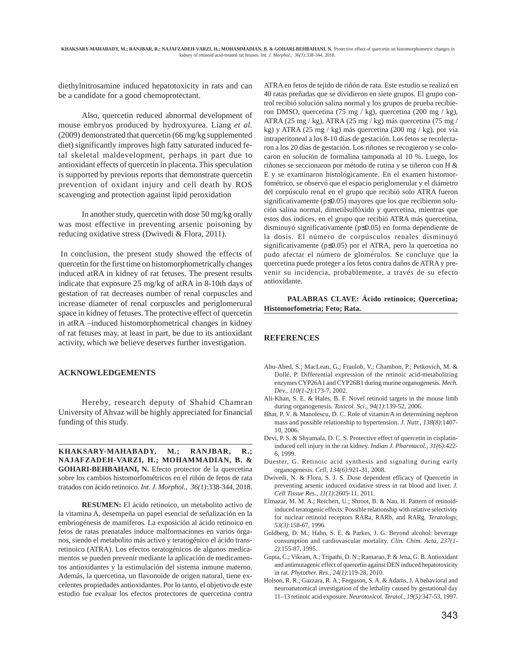diethylnitrosamine induced hepatotoxicity in rats and can be a candidate for a good chemoprotectant.

Also, quercetin reduced abnormal development of mouse embryos produced by hydroxyurea. Liang *et al*. (2009) demonstrated that quercetin (66 mg/kg supplemented diet) significantly improves high fatty saturated induced fetal skeletal maldevelopment, perhaps in part due to antioxidant effects of quercetin in placenta. This speculation is supported by previous reports that demonstrate quercetin prevention of oxidant injury and cell death by ROS scavenging and protection against lipid peroxidation

In another study, quercetin with dose 50 mg/kg orally was most effective in preventing arsenic poisoning by reducing oxidative stress (Dwivedi & Flora, 2011).

In conclusion, the present study showed the effects of quercetin for the first time on histomorphometrically changes induced atRA in kidney of rat fetuses. The present results indicate that exposure 25 mg/kg of atRA in 8-10th days of gestation of rat decreases number of renal corpuscles and increase diameter of renal corpuscles and periglomerural space in kidney of fetuses. The protective effect of quercetin in atRA –induced histomorphometrical changes in kidney of rat fetuses may, at least in part, be due to its antioxidant activity, which we believe deserves further investigation.

#### **ACKNOWLEDGEMENTS**

Hereby, research deputy of Shahid Chamran University of Ahvaz will be highly appreciated for financial funding of this study.

**KHAKSARY-MAHABADY, M.; RANJBAR, R.; NAJAFZADEH-VARZI, H.; MOHAMMADIAN, B. & GOHARI-BEHBAHANI, N.** Efecto protector de la quercetina sobre los cambios histomorfométricos en el riñón de fetos de rata tratados con ácido retinoico. *Int. J. Morphol., 36(1)*:338-344, 2018.

**RESUMEN:** El ácido retinoico, un metabolito activo de la vitamina A, desempeña un papel esencial de señalización en la embriogénesis de mamíferos. La exposición al ácido retinoico en fetos de ratas prenatales induce malformaciones en varios órganos, siendo el metabolito más activo y teratogénico el ácido transretinoico (ATRA). Los efectos teratogénicos de algunos medicamentos se pueden prevenir mediante la aplicación de medicamentos antioxidantes y la estimulación del sistema inmune materno. Además, la quercetina, un flavonoide de origen natural, tiene excelentes propiedades antioxidantes. Por lo tanto, el objetivo de este estudio fue evaluar los efectos protectores de quercetina contra

ATRA en fetos de tejido de riñón de rata. Este estudio se realizó en 40 ratas preñadas que se dividieron en siete grupos. El grupo control recibió solución salina normal y los grupos de prueba recibieron DMSO, quercetina (75 mg / kg), quercetina (200 mg / kg), ATRA (25 mg / kg), ATRA (25 mg / kg) más quercetina (75 mg / kg) y ATRA (25 mg / kg) más quercetina (200 mg / kg), por vía intraperitoneal a los 8-10 días de gestación. Los fetos se recolectaron a los 20 días de gestación. Los riñones se recogieron y se colocaron en solución de formalina tamponada al 10 %. Luego, los riñones se seccionaron por método de rutina y se tiñeron con H & E y se examinaron histológicamente. En el examen histomorfométrico, se observó que el espacio periglomerular y el diámetro del corpúsculo renal en el grupo que recibió solo ATRA fueron significativamente (p≤0.05) mayores que los que recibieron solución salina normal, dimetilsulfóxido y quercetina, mientras que estos dos índices, en el grupo que recibió ATRA más quercetina, disminuyó significativamente (p≤0.05) en forma dependiente de la dosis. El número de corpúsculos renales disminuyó significativamente (p≤0.05) por el ATRA, pero la quercetina no pudo afectar el número de glomérulos. Se concluye que la quercetina puede proteger a los fetos contra daños de ATRA y prevenir su incidencia, probablemente, a través de su efecto antioxidante.

**PALABRAS CLAVE: Ácido retinoico; Quercetina; Histomorfometría; Feto; Rata.**

## **REFERENCES**

- Abu-Abed, S.; MacLean, G.; Fraulob, V.; Chambon, P.; Petkovich, M. & Dollé, P. Differential expression of the retinoic acid-metabolizing enzymes CYP26A1 and CYP26B1 during murine organogenesis. *Mech. Dev., 110(1-2)*:173-7, 2002.
- Ali-Khan, S. E. & Hales, B. F. Novel retinoid targets in the mouse limb during organogenesis. *Toxicol. Sci., 94(1)*:139-52, 2006.
- Bhat, P. V. & Manolescu, D. C. Role of vitamin A in determining nephron mass and possible relationship to hypertension. *J. Nutr., 138(8)*:1407- 10, 2006.
- Devi, P. S. & Shyamala, D. C. S. Protective effect of quercetin in cisplatininduced cell injury in the rat kidney. *Indian J. Pharmacol., 31(6)*:422- 6, 1999.
- Duester, G. Retinoic acid synthesis and signaling during early organogenesis. *Cell, 134(6)*:921-31, 2008.
- Dwivedi, N. & Flora, S. J. S. Dose dependent efficacy of Quercetin in preventing arsenic induced oxidative stress in rat blood and liver. *J. Cell Tissue Res., 11(1)*:2605-11, 2011.
- Elmazar, M. M. A.; Reichert, U.; Shroot, B. & Nau, H. Pattern of retinoidinduced teratogenic effects: Possible relationship with relative selectivity for nuclear retinoid receptors RARa, RARb, and RARg. *Teratology, 53(3)*:158-67, 1996.
- Goldberg, D. M.; Hahn, S. E. & Parkes, J. G. Beyond alcohol: beverage consumption and cardiovascular mortality. *Clin. Chim. Acta, 237(1- 2)*:155-87, 1995.
- Gupta, C.; Vikram, A.; Tripathi, D. N.; Ramarao, P. & Jena, G. B. Antioxidant and antimutagenic effect of quercetin against DEN induced hepatotoxicity in rat. *Phytother. Res., 24(1)*:119-28, 2010.
- Holson, R. R.; Gazzara, R. A.; Ferguson, S. A. & Adams, J. A behavioral and neuroanatomical investigation of the lethality caused by gestational day 11–13 retinoic acid exposure. *Neurotoxicol. Teratol., 19(5)*:347-53, 1997.